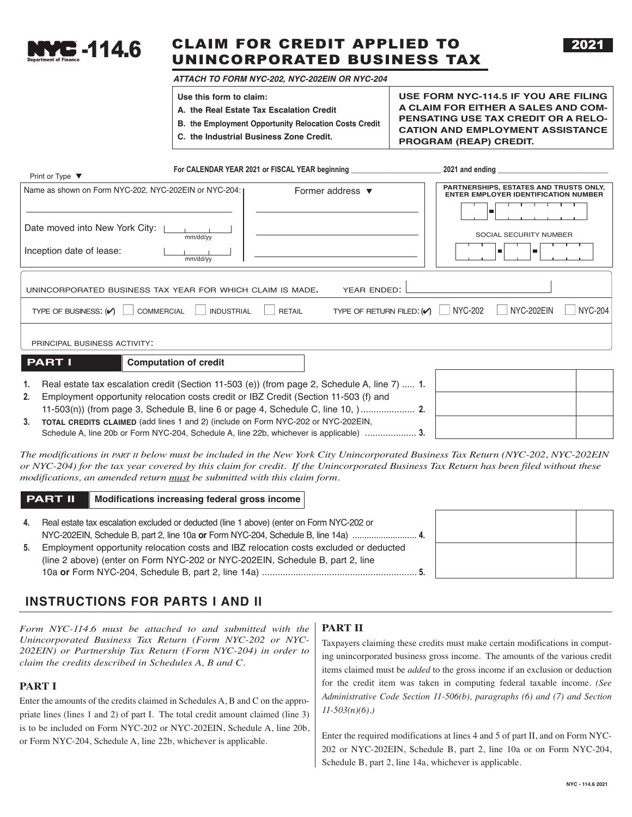

# CAIM FOR CREDIT APPLIED TO CLAIM FOR CREDIT APPLIED TO UNINCORPORATED BUSINESS TAX

2021

 *ATTACH TO FORM NYC-202, NYC-202EIN OR NYC-204* 

**Use this form to claim:** 

- **A. the Real Estate Tax Escalation Credit**
- **B. the Employment Opportunity Relocation Costs Credit**
- **C. the Industrial Business Zone Credit.**

**USE FORM NYC-114.5 IF YOU ARE FILING A CLAIM FOR EITHER A SALES AND COM-PENSATING USE TAX CREDIT OR A RELO-CATION AND EMPLOYMENT ASSISTANCE PROGRAM (REAP) CREDIT.**

| Print or Type $\blacktriangledown$                            | For CALENDAR YEAR 2021 or FISCAL YEAR beginning                                   | 2021 and ending                                                                       |
|---------------------------------------------------------------|-----------------------------------------------------------------------------------|---------------------------------------------------------------------------------------|
| Name as shown on Form NYC-202, NYC-202EIN or NYC-204: I       | Former address $\blacktriangledown$                                               | PARTNERSHIPS, ESTATES AND TRUSTS ONLY,<br><b>ENTER EMPLOYER IDENTIFICATION NUMBER</b> |
|                                                               |                                                                                   |                                                                                       |
| Date moved into New York City:<br>mm/dd/yy                    |                                                                                   | SOCIAL SECURITY NUMBER                                                                |
| Inception date of lease:<br>mm/dd/yy                          |                                                                                   |                                                                                       |
| UNINCORPORATED BUSINESS TAX YEAR FOR WHICH CLAIM IS MADE.     | YEAR ENDED:                                                                       |                                                                                       |
| TYPE OF BUSINESS: $(\vee)$<br>COMMERCIAL<br><b>INDUSTRIAL</b> | TYPE OF RETURN FILED: $\left\vert \bigwedge \right\vert$ NYC-202<br><b>RETAIL</b> | <b>NYC-204</b><br>NYC-202EIN<br>$\mathbf{I}$                                          |
| PRINCIPAL BUSINESS ACTIVITY:                                  |                                                                                   |                                                                                       |

**PART I** Computation of credit

**1.** Real estate tax escalation credit (Section 11-503 (e)) (from page 2, Schedule A, line 7) ..... **1. 2.** Employment opportunity relocation costs credit or IBZ Credit (Section 11-503 (f) and 11-503(n)) (from page 3, Schedule B, line 6 or page 4, Schedule C, line 10, )..................... **2. 3. TOTAL CREDITS CLAIMED** (add lines 1 and 2) (include on Form NYC-202 or NYC-202EIN, Schedule A, line 20b or Form NYC-204, Schedule A, line 22b, whichever is applicable) .................... **3.**

*The modifications in PART II below must be included in the New York City Unincorporated Business Tax Return (NYC-202, NYC-202EIN or NYC-204) for the tax year covered by this claim for credit. If the Unincorporated Business Tax Return has been filed without these modifications, an amended return must be submitted with this claim form.*

## **PART II** Modifications increasing federal gross income

**4.** Real estate tax escalation excluded or deducted (line 1 above) (enter on Form NYC-202 or NYC-202EIN, Schedule B, part 2, line 10a **or** Form NYC-204, Schedule B, line 14a) ........................... **4. 5.** Employment opportunity relocation costs and IBZ relocation costs excluded or deducted (line 2 above) (enter on Form NYC-202 or NYC-202EIN, Schedule B, part 2, line

10a **or** Form NYC-204, Schedule B, part 2, line 14a) ............................................................ **5.**

# **INSTRUCTIONS FOR PARTS I AND II**

*Form NYC-114.6 must be attached to and submitted with the Unincorporated Business Tax Return (Form NYC-202 or NYC-202EIN) or Partnership Tax Return (Form NYC-204) in order to claim the credits described in Schedules A, B and C.*

## **PART I**

Enter the amounts of the credits claimed in Schedules A, B and C on the appropriate lines (lines 1 and 2) of part I. The total credit amount claimed (line 3) is to be included on Form NYC-202 or NYC-202EIN, Schedule A, line 20b, or Form NYC-204, Schedule A, line 22b, whichever is applicable.

# **PART II**

Taxpayers claiming these credits must make certain modifications in computing unincorporated business gross income. The amounts of the various credit items claimed must be *added* to the gross income if an exclusion or deduction for the credit item was taken in computing federal taxable income. *(See Administrative Code Section 11-506(b), paragraphs (6) and (7) and Section 11-503(n)(6).)* 

Enter the required modifications at lines 4 and 5 of part II, and on Form NYC-202 or NYC-202EIN, Schedule B, part 2, line 10a or on Form NYC-204, Schedule B, part 2, line 14a, whichever is applicable.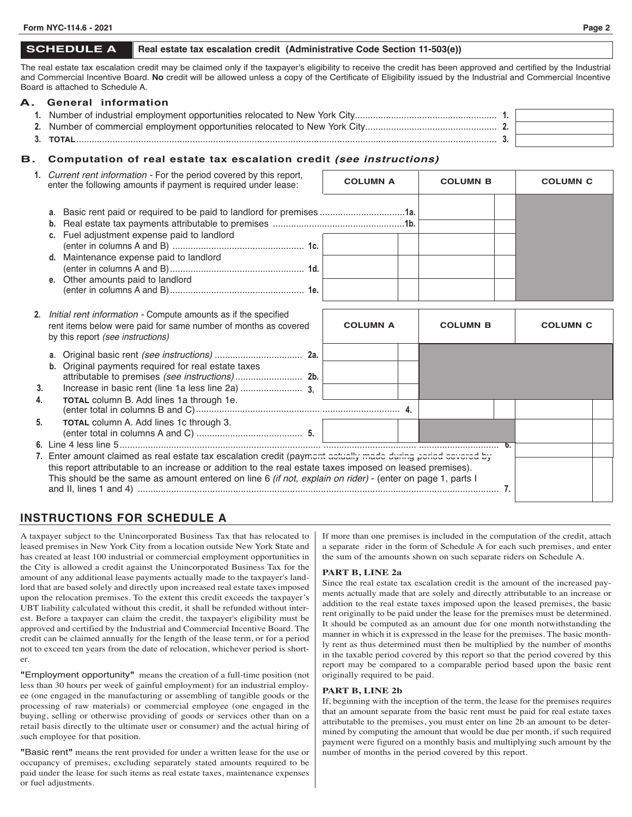## **SCHEDULE A** Real estate tax escalation credit (Administrative Code Section 11-503(e))

The real estate tax escalation credit may be claimed only if the taxpayer's eligibility to receive the credit has been approved and certified by the Industrial and Commercial Incentive Board. **No** credit will be allowed unless a copy of the Certificate of Eligibility issued by the Industrial and Commercial Incentive Board is attached to Schedule A.

## **A. General information 1.** Number of industrial employment opportunities relocated to New York City....................................................... **1. 2.** Number of commercial employment opportunities relocated to New York City................................................... **2. 3. TOTAL**................................................................................................................................................................... **3.**

## **B. Computation of real estate tax escalation credit** *(see instructions)*

|    | 1. Current rent information - For the period covered by this report,<br>enter the following amounts if payment is required under lease:                                                                                 | <b>COLUMN A</b> | <b>COLUMN B</b> | <b>COLUMN C</b> |  |
|----|-------------------------------------------------------------------------------------------------------------------------------------------------------------------------------------------------------------------------|-----------------|-----------------|-----------------|--|
|    | a. Basic rent paid or required to be paid to landlord for premises 1a.<br>b.<br>c. Fuel adjustment expense paid to landlord<br>d. Maintenance expense paid to landlord<br>e. Other amounts paid to landlord             |                 |                 |                 |  |
|    | 2. <i>Initial rent information -</i> Compute amounts as if the specified<br>rent items below were paid for same number of months as covered<br>by this report (see instructions)                                        | <b>COLUMN A</b> | <b>COLUMN B</b> | <b>COLUMN C</b> |  |
| 3. | а.<br>b. Original payments required for real estate taxes                                                                                                                                                               |                 |                 |                 |  |
| 4. | TOTAL column B. Add lines 1a through 1e.                                                                                                                                                                                |                 |                 |                 |  |
| 5. | TOTAL column A. Add lines 1c through 3.                                                                                                                                                                                 |                 |                 |                 |  |
|    | 7. Enter amount claimed as real estate tax escalation credit (payment actually made during period covered by                                                                                                            |                 |                 |                 |  |
|    | this report attributable to an increase or addition to the real estate taxes imposed on leased premises).<br>This should be the same as amount entered on line 6 (if not, explain on rider) - (enter on page 1, parts I |                 |                 |                 |  |

# **INSTRUCTIONS FOR SCHEDULE A**

A taxpayer subject to the Unincorporated Business Tax that has relocated to leased premises in New York City from a location outside New York State and has created at least 100 industrial or commercial employment opportunities in the City is allowed a credit against the Unincorporated Business Tax for the amount of any additional lease payments actually made to the taxpayer's landlord that are based solely and directly upon increased real estate taxes imposed upon the relocation premises. To the extent this credit exceeds the taxpayer's UBT liability calculated without this credit, it shall be refunded without interest. Before a taxpayer can claim the credit, the taxpayer's eligibility must be approved and certified by the Industrial and Commercial Incentive Board. The credit can be claimed annually for the length of the lease term, or for a period not to exceed ten years from the date of relocation, whichever period is shorter.

**"**Employment opportunity**"**means the creation of a full-time position (not less than 30 hours per week of gainful employment) for an industrial employee (one engaged in the manufacturing or assembling of tangible goods or the processing of raw materials) or commercial employee (one engaged in the buying, selling or otherwise providing of goods or services other than on a retail basis directly to the ultimate user or consumer) and the actual hiring of such employee for that position.

**"**Basic rent**"** means the rent provided for under a written lease for the use or occupancy of premises, excluding separately stated amounts required to be paid under the lease for such items as real estate taxes, maintenance expenses or fuel adjustments.

If more than one premises is included in the computation of the credit, attach a separate rider in the form of Schedule A for each such premises, and enter the sum of the amounts shown on such separate riders on Schedule A.

## **PART B, LINE 2a**

Since the real estate tax escalation credit is the amount of the increased payments actually made that are solely and directly attributable to an increase or addition to the real estate taxes imposed upon the leased premises, the basic rent originally to be paid under the lease for the premises must be determined. It should be computed as an amount due for one month notwithstanding the manner in which it is expressed in the lease for the premises. The basic monthly rent as thus determined must then be multiplied by the number of months in the taxable period covered by this report so that the period covered by this report may be compared to a comparable period based upon the basic rent originally required to be paid.

#### **PART B, LINE 2b**

If, beginning with the inception of the term, the lease for the premises requires that an amount separate from the basic rent must be paid for real estate taxes attributable to the premises, you must enter on line 2b an amount to be determined by computing the amount that would be due per month, if such required payment were figured on a monthly basis and multiplying such amount by the number of months in the period covered by this report.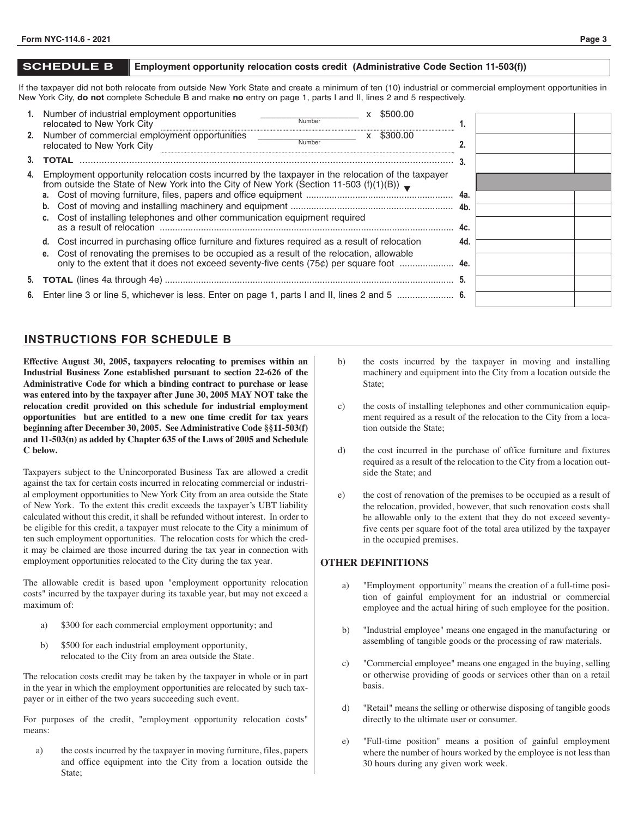#### **SCHEDULE B Employment opportunity relocation costs credit (Administrative Code Section 11-503(f))**

If the taxpayer did not both relocate from outside New York State and create a minimum of ten (10) industrial or commercial employment opportunities in New York City, **do not** complete Schedule B and make **no** entry on page 1, parts I and II, lines 2 and 5 respectively.

|    | 1. Number of industrial employment opportunities                                                                                                                                                        |        | \$500.00 |     |  |
|----|---------------------------------------------------------------------------------------------------------------------------------------------------------------------------------------------------------|--------|----------|-----|--|
|    | relocated to New York City                                                                                                                                                                              | Number |          |     |  |
|    | 2. Number of commercial employment opportunities<br>relocated to New York City                                                                                                                          | Number | \$300.00 |     |  |
|    | <b>TOTAL</b>                                                                                                                                                                                            |        |          |     |  |
| 4. | Employment opportunity relocation costs incurred by the taxpayer in the relocation of the taxpayer<br>from outside the State of New York into the City of New York (Section 11-503 (f)(1)(B)) $\bullet$ |        |          |     |  |
|    |                                                                                                                                                                                                         |        |          |     |  |
|    |                                                                                                                                                                                                         |        |          |     |  |
|    | c. Cost of installing telephones and other communication equipment required                                                                                                                             |        |          |     |  |
|    |                                                                                                                                                                                                         |        |          | 4c. |  |
|    | d. Cost incurred in purchasing office furniture and fixtures required as a result of relocation                                                                                                         |        |          | 4d. |  |
|    | e. Cost of renovating the premises to be occupied as a result of the relocation, allowable                                                                                                              |        |          |     |  |
|    |                                                                                                                                                                                                         |        |          |     |  |
|    |                                                                                                                                                                                                         |        |          |     |  |
|    |                                                                                                                                                                                                         |        |          |     |  |

# **INSTRUCTIONS FOR SCHEDULE B**

**Effective August 30, 2005, taxpayers relocating to premises within an Industrial Business Zone established pursuant to section 22-626 of the Administrative Code for which a binding contract to purchase or lease was entered into by the taxpayer after June 30, 2005 MAY NOT take the relocation credit provided on this schedule for industrial employment opportunities but are entitled to a new one time credit for tax years beginning after December 30, 2005. See Administrative Code §§11-503(f) and 11-503(n) as added by Chapter 635 of the Laws of 2005 and Schedule C below.** 

Taxpayers subject to the Unincorporated Business Tax are allowed a credit against the tax for certain costs incurred in relocating commercial or industrial employment opportunities to New York City from an area outside the State of New York. To the extent this credit exceeds the taxpayer's UBT liability calculated without this credit, it shall be refunded without interest. In order to be eligible for this credit, a taxpayer must relocate to the City a minimum of ten such employment opportunities. The relocation costs for which the credit may be claimed are those incurred during the tax year in connection with employment opportunities relocated to the City during the tax year.

The allowable credit is based upon "employment opportunity relocation costs" incurred by the taxpayer during its taxable year, but may not exceed a maximum of:

- a) \$300 for each commercial employment opportunity; and
- b) \$500 for each industrial employment opportunity, relocated to the City from an area outside the State.

The relocation costs credit may be taken by the taxpayer in whole or in part in the year in which the employment opportunities are relocated by such taxpayer or in either of the two years succeeding such event.

For purposes of the credit, "employment opportunity relocation costs" means:

a) the costs incurred by the taxpayer in moving furniture, files, papers and office equipment into the City from a location outside the State;

- b) the costs incurred by the taxpayer in moving and installing machinery and equipment into the City from a location outside the State;
- c) the costs of installing telephones and other communication equipment required as a result of the relocation to the City from a location outside the State;
- d) the cost incurred in the purchase of office furniture and fixtures required as a result of the relocation to the City from a location outside the State; and
- e) the cost of renovation of the premises to be occupied as a result of the relocation, provided, however, that such renovation costs shall be allowable only to the extent that they do not exceed seventyfive cents per square foot of the total area utilized by the taxpayer in the occupied premises.

## **OTHER DEFINITIONS**

- a) "Employment opportunity" means the creation of a full-time position of gainful employment for an industrial or commercial employee and the actual hiring of such employee for the position.
- b) "Industrial employee" means one engaged in the manufacturing or assembling of tangible goods or the processing of raw materials.
- c) "Commercial employee" means one engaged in the buying, selling or otherwise providing of goods or services other than on a retail basis.
- d) "Retail" means the selling or otherwise disposing of tangible goods directly to the ultimate user or consumer.
- e) "Full-time position" means a position of gainful employment where the number of hours worked by the employee is not less than 30 hours during any given work week.